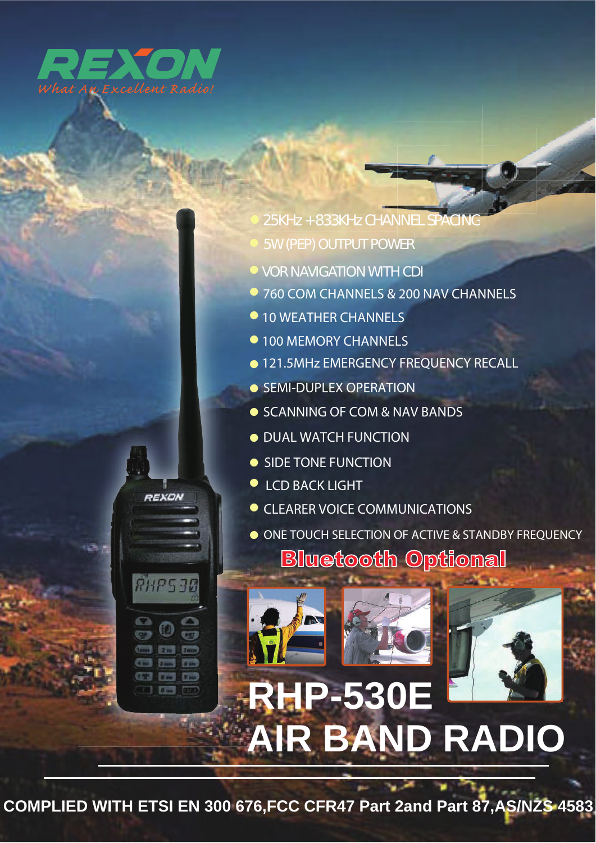

**REXON** 

RHP530

5W (PEP) OUTPUT POWER 25KHz + 833KHz CHANNEL SPACING

- **P** VOR NAVIGATION WITH CDI
- 760 COM CHANNELS & 200 NAV CHANNELS
- 10 WEATHER CHANNELS
- 100 MEMORY CHANNELS
- $\bullet$ 121.5MHz EMERGENCY FREQUENCY RECALL
- SEMI-DUPLEX OPERATION
- SCANNING OF COM & NAV BANDS
- **O DUAL WATCH FUNCTION**
- SIDE TONE FUNCTION
- LCD BACK LIGHT
- **O CLEARER VOICE COMMUNICATIONS**
- ONE TOUCH SELECTION OF ACTIVE & STANDBY FREQUENCY **Bluetooth Optional**



**COMPLIED WITH ETSI EN 300 676,FCC CFR47 Part 2and Part 87,AS/NZS 4583**